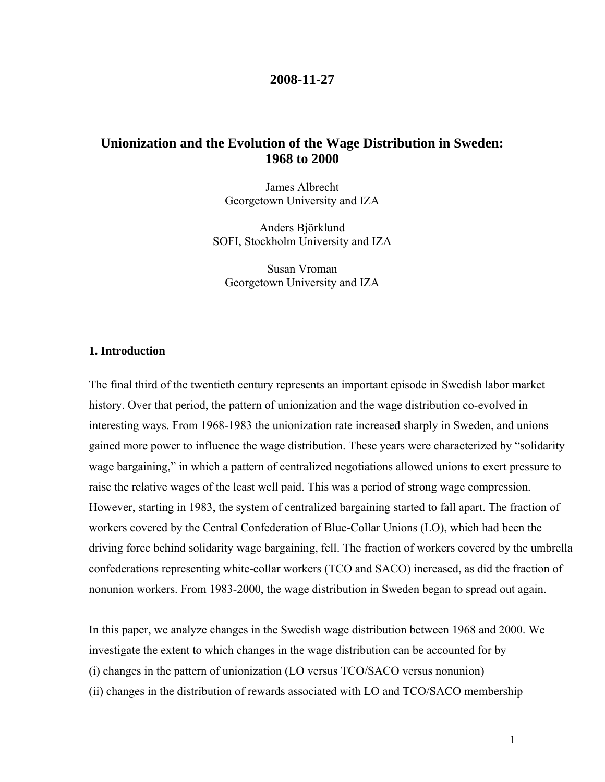## **2008-11-27**

# **Unionization and the Evolution of the Wage Distribution in Sweden: 1968 to 2000**

James Albrecht Georgetown University and IZA

Anders Björklund SOFI, Stockholm University and IZA

Susan Vroman Georgetown University and IZA

#### **1. Introduction**

The final third of the twentieth century represents an important episode in Swedish labor market history. Over that period, the pattern of unionization and the wage distribution co-evolved in interesting ways. From 1968-1983 the unionization rate increased sharply in Sweden, and unions gained more power to influence the wage distribution. These years were characterized by "solidarity wage bargaining," in which a pattern of centralized negotiations allowed unions to exert pressure to raise the relative wages of the least well paid. This was a period of strong wage compression. However, starting in 1983, the system of centralized bargaining started to fall apart. The fraction of workers covered by the Central Confederation of Blue-Collar Unions (LO), which had been the driving force behind solidarity wage bargaining, fell. The fraction of workers covered by the umbrella confederations representing white-collar workers (TCO and SACO) increased, as did the fraction of nonunion workers. From 1983-2000, the wage distribution in Sweden began to spread out again.

In this paper, we analyze changes in the Swedish wage distribution between 1968 and 2000. We investigate the extent to which changes in the wage distribution can be accounted for by (i) changes in the pattern of unionization (LO versus TCO/SACO versus nonunion) (ii) changes in the distribution of rewards associated with LO and TCO/SACO membership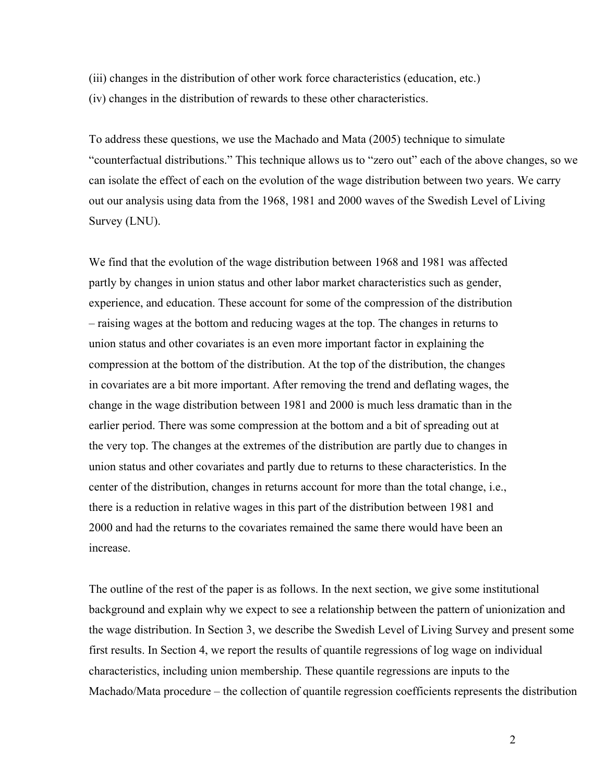(iii) changes in the distribution of other work force characteristics (education, etc.) (iv) changes in the distribution of rewards to these other characteristics.

To address these questions, we use the Machado and Mata (2005) technique to simulate "counterfactual distributions." This technique allows us to "zero out" each of the above changes, so we can isolate the effect of each on the evolution of the wage distribution between two years. We carry out our analysis using data from the 1968, 1981 and 2000 waves of the Swedish Level of Living Survey (LNU).

We find that the evolution of the wage distribution between 1968 and 1981 was affected partly by changes in union status and other labor market characteristics such as gender, experience, and education. These account for some of the compression of the distribution – raising wages at the bottom and reducing wages at the top. The changes in returns to union status and other covariates is an even more important factor in explaining the compression at the bottom of the distribution. At the top of the distribution, the changes in covariates are a bit more important. After removing the trend and deflating wages, the change in the wage distribution between 1981 and 2000 is much less dramatic than in the earlier period. There was some compression at the bottom and a bit of spreading out at the very top. The changes at the extremes of the distribution are partly due to changes in union status and other covariates and partly due to returns to these characteristics. In the center of the distribution, changes in returns account for more than the total change, i.e., there is a reduction in relative wages in this part of the distribution between 1981 and 2000 and had the returns to the covariates remained the same there would have been an increase.

The outline of the rest of the paper is as follows. In the next section, we give some institutional background and explain why we expect to see a relationship between the pattern of unionization and the wage distribution. In Section 3, we describe the Swedish Level of Living Survey and present some first results. In Section 4, we report the results of quantile regressions of log wage on individual characteristics, including union membership. These quantile regressions are inputs to the Machado/Mata procedure – the collection of quantile regression coefficients represents the distribution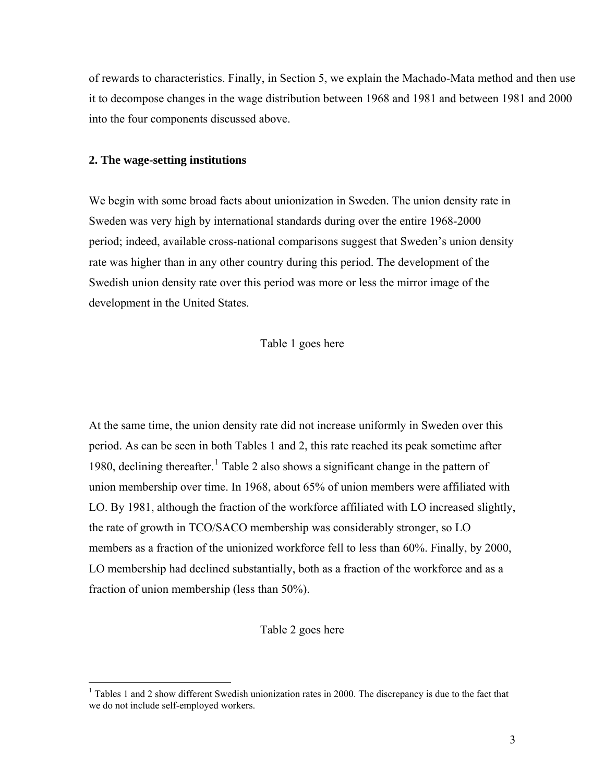of rewards to characteristics. Finally, in Section 5, we explain the Machado-Mata method and then use it to decompose changes in the wage distribution between 1968 and 1981 and between 1981 and 2000 into the four components discussed above.

#### **2. The wage-setting institutions**

 $\overline{a}$ 

We begin with some broad facts about unionization in Sweden. The union density rate in Sweden was very high by international standards during over the entire 1968-2000 period; indeed, available cross-national comparisons suggest that Sweden's union density rate was higher than in any other country during this period. The development of the Swedish union density rate over this period was more or less the mirror image of the development in the United States.

Table 1 goes here

At the same time, the union density rate did not increase uniformly in Sweden over this period. As can be seen in both Tables 1 and 2, this rate reached its peak sometime after [1](#page-2-0)980, declining thereafter.<sup>1</sup> Table 2 also shows a significant change in the pattern of union membership over time. In 1968, about 65% of union members were affiliated with LO. By 1981, although the fraction of the workforce affiliated with LO increased slightly, the rate of growth in TCO/SACO membership was considerably stronger, so LO members as a fraction of the unionized workforce fell to less than 60%. Finally, by 2000, LO membership had declined substantially, both as a fraction of the workforce and as a fraction of union membership (less than 50%).

## Table 2 goes here

<span id="page-2-0"></span><sup>&</sup>lt;sup>1</sup> Tables 1 and 2 show different Swedish unionization rates in 2000. The discrepancy is due to the fact that we do not include self-employed workers.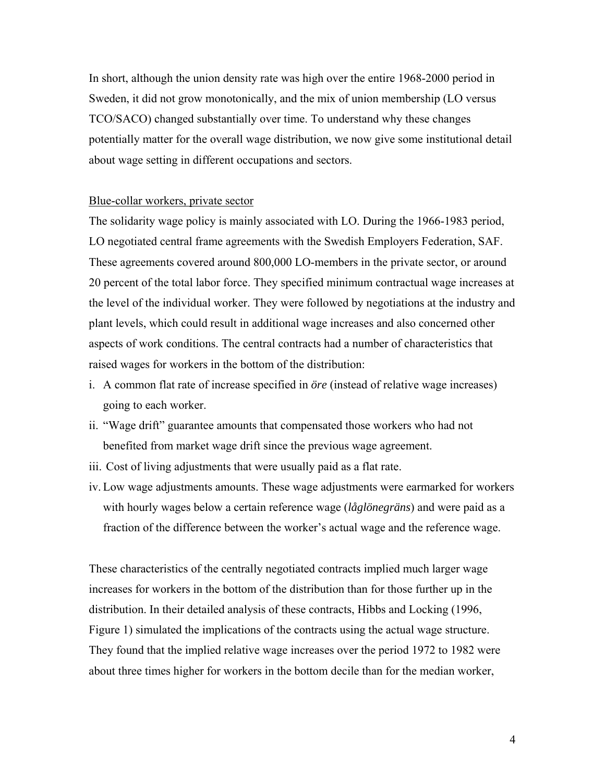In short, although the union density rate was high over the entire 1968-2000 period in Sweden, it did not grow monotonically, and the mix of union membership (LO versus TCO/SACO) changed substantially over time. To understand why these changes potentially matter for the overall wage distribution, we now give some institutional detail about wage setting in different occupations and sectors.

## Blue-collar workers, private sector

The solidarity wage policy is mainly associated with LO. During the 1966-1983 period, LO negotiated central frame agreements with the Swedish Employers Federation, SAF. These agreements covered around 800,000 LO-members in the private sector, or around 20 percent of the total labor force. They specified minimum contractual wage increases at the level of the individual worker. They were followed by negotiations at the industry and plant levels, which could result in additional wage increases and also concerned other aspects of work conditions. The central contracts had a number of characteristics that raised wages for workers in the bottom of the distribution:

- i. A common flat rate of increase specified in *öre* (instead of relative wage increases) going to each worker.
- ii. "Wage drift" guarantee amounts that compensated those workers who had not benefited from market wage drift since the previous wage agreement.
- iii. Cost of living adjustments that were usually paid as a flat rate.
- iv. Low wage adjustments amounts. These wage adjustments were earmarked for workers with hourly wages below a certain reference wage (*låglönegräns*) and were paid as a fraction of the difference between the worker's actual wage and the reference wage.

These characteristics of the centrally negotiated contracts implied much larger wage increases for workers in the bottom of the distribution than for those further up in the distribution. In their detailed analysis of these contracts, Hibbs and Locking (1996, Figure 1) simulated the implications of the contracts using the actual wage structure. They found that the implied relative wage increases over the period 1972 to 1982 were about three times higher for workers in the bottom decile than for the median worker,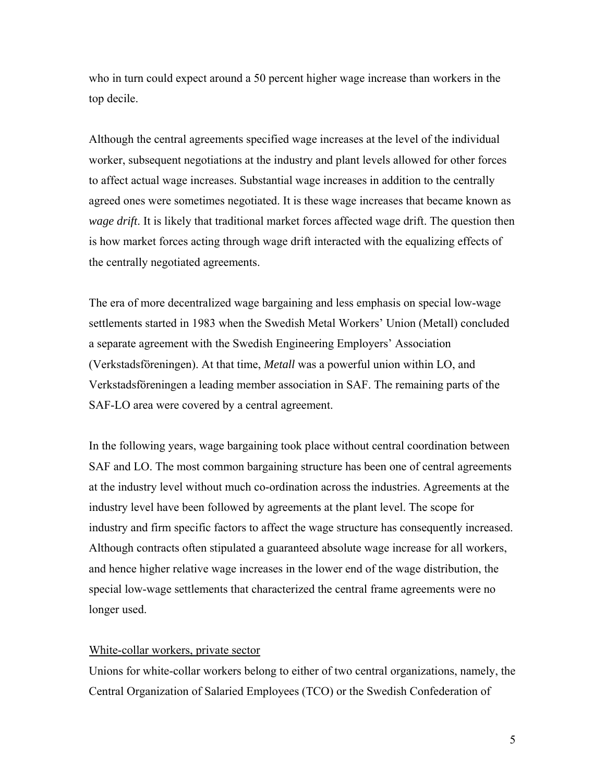who in turn could expect around a 50 percent higher wage increase than workers in the top decile.

Although the central agreements specified wage increases at the level of the individual worker, subsequent negotiations at the industry and plant levels allowed for other forces to affect actual wage increases. Substantial wage increases in addition to the centrally agreed ones were sometimes negotiated. It is these wage increases that became known as *wage drift*. It is likely that traditional market forces affected wage drift. The question then is how market forces acting through wage drift interacted with the equalizing effects of the centrally negotiated agreements.

The era of more decentralized wage bargaining and less emphasis on special low-wage settlements started in 1983 when the Swedish Metal Workers' Union (Metall) concluded a separate agreement with the Swedish Engineering Employers' Association (Verkstadsföreningen). At that time, *Metall* was a powerful union within LO, and Verkstadsföreningen a leading member association in SAF. The remaining parts of the SAF-LO area were covered by a central agreement.

In the following years, wage bargaining took place without central coordination between SAF and LO. The most common bargaining structure has been one of central agreements at the industry level without much co-ordination across the industries. Agreements at the industry level have been followed by agreements at the plant level. The scope for industry and firm specific factors to affect the wage structure has consequently increased. Although contracts often stipulated a guaranteed absolute wage increase for all workers, and hence higher relative wage increases in the lower end of the wage distribution, the special low-wage settlements that characterized the central frame agreements were no longer used.

## White-collar workers, private sector

Unions for white-collar workers belong to either of two central organizations, namely, the Central Organization of Salaried Employees (TCO) or the Swedish Confederation of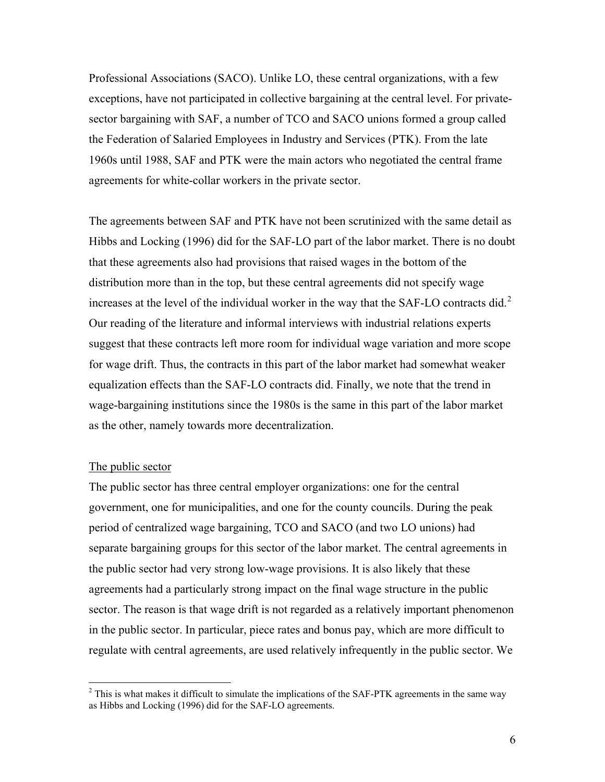Professional Associations (SACO). Unlike LO, these central organizations, with a few exceptions, have not participated in collective bargaining at the central level. For privatesector bargaining with SAF, a number of TCO and SACO unions formed a group called the Federation of Salaried Employees in Industry and Services (PTK). From the late 1960s until 1988, SAF and PTK were the main actors who negotiated the central frame agreements for white-collar workers in the private sector.

The agreements between SAF and PTK have not been scrutinized with the same detail as Hibbs and Locking (1996) did for the SAF-LO part of the labor market. There is no doubt that these agreements also had provisions that raised wages in the bottom of the distribution more than in the top, but these central agreements did not specify wage increases at the level of the individual worker in the way that the SAF-LO contracts did.<sup>[2](#page-5-0)</sup> Our reading of the literature and informal interviews with industrial relations experts suggest that these contracts left more room for individual wage variation and more scope for wage drift. Thus, the contracts in this part of the labor market had somewhat weaker equalization effects than the SAF-LO contracts did. Finally, we note that the trend in wage-bargaining institutions since the 1980s is the same in this part of the labor market as the other, namely towards more decentralization.

### The public sector

1

The public sector has three central employer organizations: one for the central government, one for municipalities, and one for the county councils. During the peak period of centralized wage bargaining, TCO and SACO (and two LO unions) had separate bargaining groups for this sector of the labor market. The central agreements in the public sector had very strong low-wage provisions. It is also likely that these agreements had a particularly strong impact on the final wage structure in the public sector. The reason is that wage drift is not regarded as a relatively important phenomenon in the public sector. In particular, piece rates and bonus pay, which are more difficult to regulate with central agreements, are used relatively infrequently in the public sector. We

<span id="page-5-0"></span> $2^2$  This is what makes it difficult to simulate the implications of the SAF-PTK agreements in the same way as Hibbs and Locking (1996) did for the SAF-LO agreements.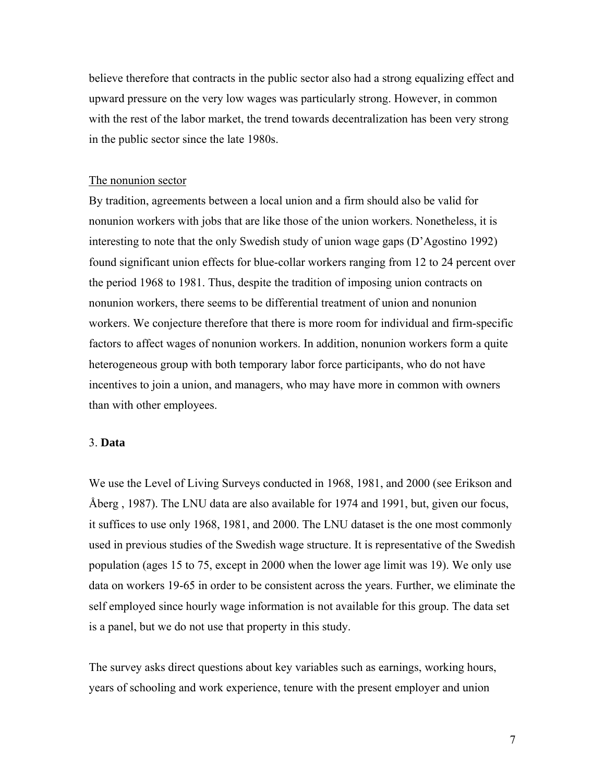believe therefore that contracts in the public sector also had a strong equalizing effect and upward pressure on the very low wages was particularly strong. However, in common with the rest of the labor market, the trend towards decentralization has been very strong in the public sector since the late 1980s.

#### The nonunion sector

By tradition, agreements between a local union and a firm should also be valid for nonunion workers with jobs that are like those of the union workers. Nonetheless, it is interesting to note that the only Swedish study of union wage gaps (D'Agostino 1992) found significant union effects for blue-collar workers ranging from 12 to 24 percent over the period 1968 to 1981. Thus, despite the tradition of imposing union contracts on nonunion workers, there seems to be differential treatment of union and nonunion workers. We conjecture therefore that there is more room for individual and firm-specific factors to affect wages of nonunion workers. In addition, nonunion workers form a quite heterogeneous group with both temporary labor force participants, who do not have incentives to join a union, and managers, who may have more in common with owners than with other employees.

## 3. **Data**

We use the Level of Living Surveys conducted in 1968, 1981, and 2000 (see Erikson and Åberg , 1987). The LNU data are also available for 1974 and 1991, but, given our focus, it suffices to use only 1968, 1981, and 2000. The LNU dataset is the one most commonly used in previous studies of the Swedish wage structure. It is representative of the Swedish population (ages 15 to 75, except in 2000 when the lower age limit was 19). We only use data on workers 19-65 in order to be consistent across the years. Further, we eliminate the self employed since hourly wage information is not available for this group. The data set is a panel, but we do not use that property in this study.

The survey asks direct questions about key variables such as earnings, working hours, years of schooling and work experience, tenure with the present employer and union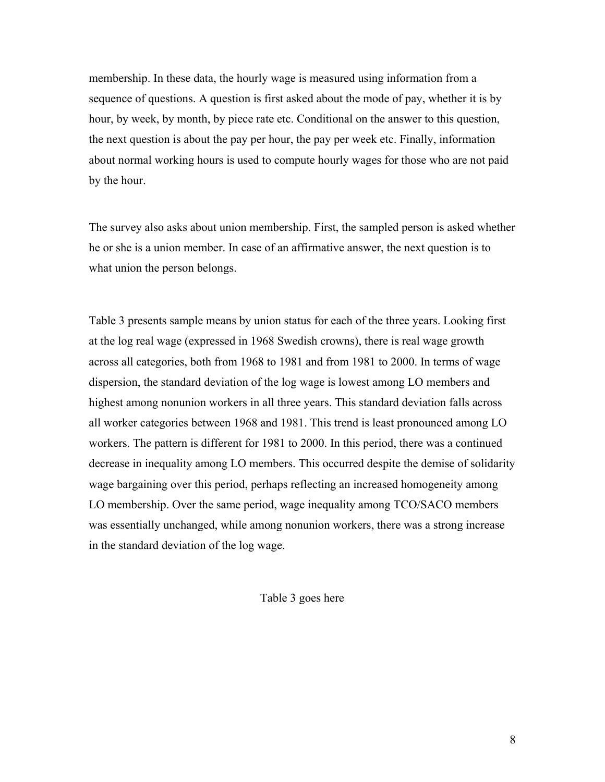membership. In these data, the hourly wage is measured using information from a sequence of questions. A question is first asked about the mode of pay, whether it is by hour, by week, by month, by piece rate etc. Conditional on the answer to this question, the next question is about the pay per hour, the pay per week etc. Finally, information about normal working hours is used to compute hourly wages for those who are not paid by the hour.

The survey also asks about union membership. First, the sampled person is asked whether he or she is a union member. In case of an affirmative answer, the next question is to what union the person belongs.

Table 3 presents sample means by union status for each of the three years. Looking first at the log real wage (expressed in 1968 Swedish crowns), there is real wage growth across all categories, both from 1968 to 1981 and from 1981 to 2000. In terms of wage dispersion, the standard deviation of the log wage is lowest among LO members and highest among nonunion workers in all three years. This standard deviation falls across all worker categories between 1968 and 1981. This trend is least pronounced among LO workers. The pattern is different for 1981 to 2000. In this period, there was a continued decrease in inequality among LO members. This occurred despite the demise of solidarity wage bargaining over this period, perhaps reflecting an increased homogeneity among LO membership. Over the same period, wage inequality among TCO/SACO members was essentially unchanged, while among nonunion workers, there was a strong increase in the standard deviation of the log wage.

Table 3 goes here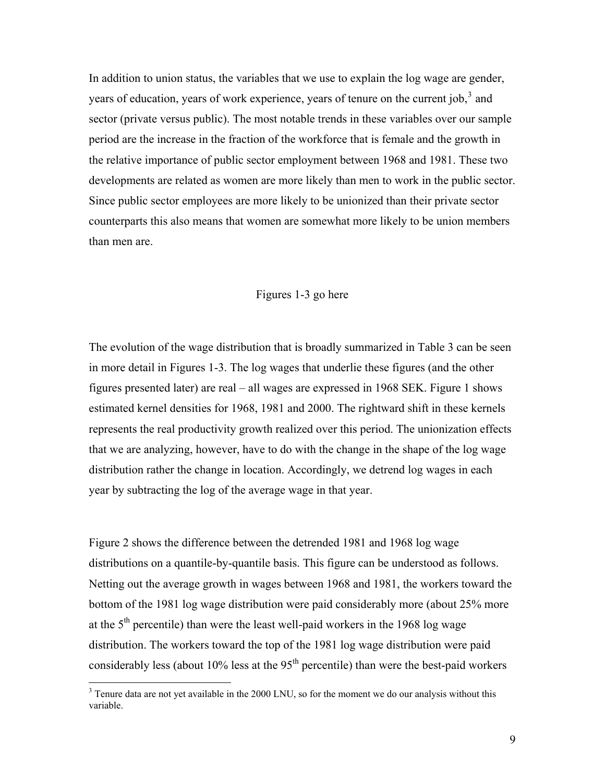In addition to union status, the variables that we use to explain the log wage are gender, years of education, years of work experience, years of tenure on the current job,  $3$  and sector (private versus public). The most notable trends in these variables over our sample period are the increase in the fraction of the workforce that is female and the growth in the relative importance of public sector employment between 1968 and 1981. These two developments are related as women are more likely than men to work in the public sector. Since public sector employees are more likely to be unionized than their private sector counterparts this also means that women are somewhat more likely to be union members than men are.

#### Figures 1-3 go here

The evolution of the wage distribution that is broadly summarized in Table 3 can be seen in more detail in Figures 1-3. The log wages that underlie these figures (and the other figures presented later) are real – all wages are expressed in 1968 SEK. Figure 1 shows estimated kernel densities for 1968, 1981 and 2000. The rightward shift in these kernels represents the real productivity growth realized over this period. The unionization effects that we are analyzing, however, have to do with the change in the shape of the log wage distribution rather the change in location. Accordingly, we detrend log wages in each year by subtracting the log of the average wage in that year.

Figure 2 shows the difference between the detrended 1981 and 1968 log wage distributions on a quantile-by-quantile basis. This figure can be understood as follows. Netting out the average growth in wages between 1968 and 1981, the workers toward the bottom of the 1981 log wage distribution were paid considerably more (about 25% more at the  $5<sup>th</sup>$  percentile) than were the least well-paid workers in the 1968 log wage distribution. The workers toward the top of the 1981 log wage distribution were paid considerably less (about  $10\%$  less at the  $95<sup>th</sup>$  percentile) than were the best-paid workers

1

<span id="page-8-0"></span> $3$  Tenure data are not yet available in the 2000 LNU, so for the moment we do our analysis without this variable.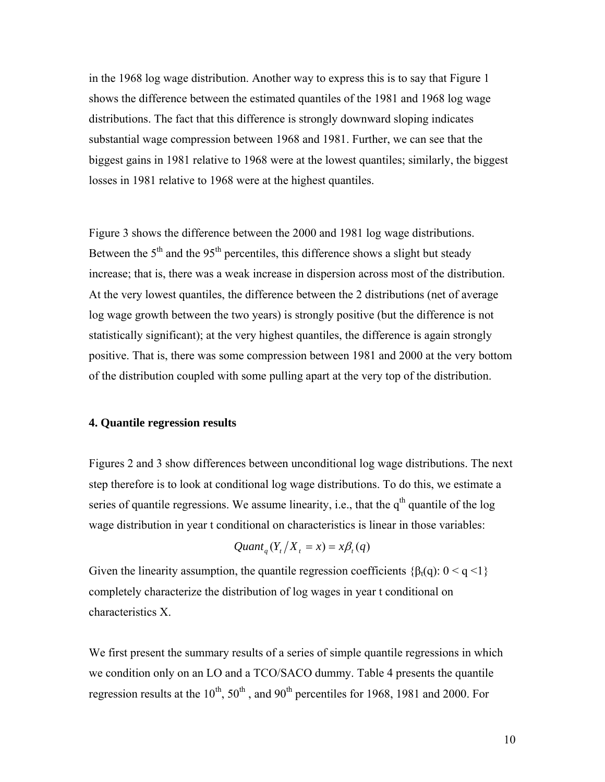in the 1968 log wage distribution. Another way to express this is to say that Figure 1 shows the difference between the estimated quantiles of the 1981 and 1968 log wage distributions. The fact that this difference is strongly downward sloping indicates substantial wage compression between 1968 and 1981. Further, we can see that the biggest gains in 1981 relative to 1968 were at the lowest quantiles; similarly, the biggest losses in 1981 relative to 1968 were at the highest quantiles.

Figure 3 shows the difference between the 2000 and 1981 log wage distributions. Between the  $5<sup>th</sup>$  and the  $95<sup>th</sup>$  percentiles, this difference shows a slight but steady increase; that is, there was a weak increase in dispersion across most of the distribution. At the very lowest quantiles, the difference between the 2 distributions (net of average log wage growth between the two years) is strongly positive (but the difference is not statistically significant); at the very highest quantiles, the difference is again strongly positive. That is, there was some compression between 1981 and 2000 at the very bottom of the distribution coupled with some pulling apart at the very top of the distribution.

#### **4. Quantile regression results**

Figures 2 and 3 show differences between unconditional log wage distributions. The next step therefore is to look at conditional log wage distributions. To do this, we estimate a series of quantile regressions. We assume linearity, i.e., that the  $q<sup>th</sup>$  quantile of the log wage distribution in year t conditional on characteristics is linear in those variables:

$$
Quant_{q}(Y_{t}/X_{t}=x)=x\beta_{t}(q)
$$

Given the linearity assumption, the quantile regression coefficients  $\{\beta_t(q): 0 \leq q \leq 1\}$ completely characterize the distribution of log wages in year t conditional on characteristics X.

We first present the summary results of a series of simple quantile regressions in which we condition only on an LO and a TCO/SACO dummy. Table 4 presents the quantile regression results at the  $10^{th}$ ,  $50^{th}$ , and  $90^{th}$  percentiles for 1968, 1981 and 2000. For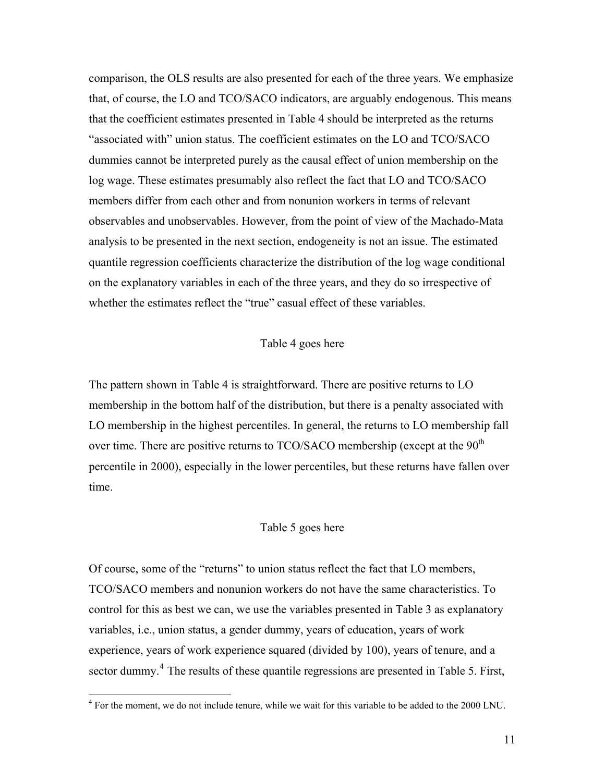comparison, the OLS results are also presented for each of the three years. We emphasize that, of course, the LO and TCO/SACO indicators, are arguably endogenous. This means that the coefficient estimates presented in Table 4 should be interpreted as the returns "associated with" union status. The coefficient estimates on the LO and TCO/SACO dummies cannot be interpreted purely as the causal effect of union membership on the log wage. These estimates presumably also reflect the fact that LO and TCO/SACO members differ from each other and from nonunion workers in terms of relevant observables and unobservables. However, from the point of view of the Machado-Mata analysis to be presented in the next section, endogeneity is not an issue. The estimated quantile regression coefficients characterize the distribution of the log wage conditional on the explanatory variables in each of the three years, and they do so irrespective of whether the estimates reflect the "true" casual effect of these variables.

## Table 4 goes here

The pattern shown in Table 4 is straightforward. There are positive returns to LO membership in the bottom half of the distribution, but there is a penalty associated with LO membership in the highest percentiles. In general, the returns to LO membership fall over time. There are positive returns to  $TCO/SACO$  membership (except at the  $90<sup>th</sup>$ percentile in 2000), especially in the lower percentiles, but these returns have fallen over time.

#### Table 5 goes here

Of course, some of the "returns" to union status reflect the fact that LO members, TCO/SACO members and nonunion workers do not have the same characteristics. To control for this as best we can, we use the variables presented in Table 3 as explanatory variables, i.e., union status, a gender dummy, years of education, years of work experience, years of work experience squared (divided by 100), years of tenure, and a sector dummy.<sup>[4](#page-10-0)</sup> The results of these quantile regressions are presented in Table 5. First,

 $\overline{a}$ 

<span id="page-10-0"></span><sup>&</sup>lt;sup>4</sup> For the moment, we do not include tenure, while we wait for this variable to be added to the 2000 LNU.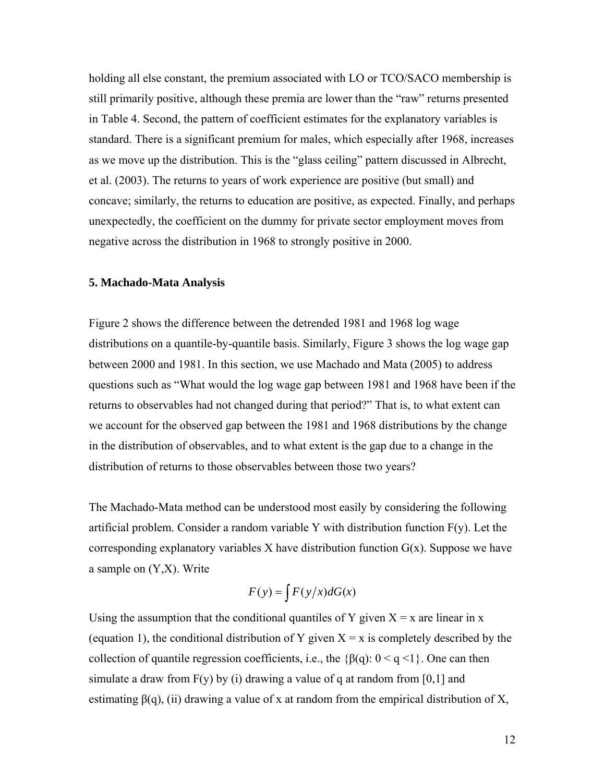holding all else constant, the premium associated with LO or TCO/SACO membership is still primarily positive, although these premia are lower than the "raw" returns presented in Table 4. Second, the pattern of coefficient estimates for the explanatory variables is standard. There is a significant premium for males, which especially after 1968, increases as we move up the distribution. This is the "glass ceiling" pattern discussed in Albrecht, et al. (2003). The returns to years of work experience are positive (but small) and concave; similarly, the returns to education are positive, as expected. Finally, and perhaps unexpectedly, the coefficient on the dummy for private sector employment moves from negative across the distribution in 1968 to strongly positive in 2000.

#### **5. Machado-Mata Analysis**

Figure 2 shows the difference between the detrended 1981 and 1968 log wage distributions on a quantile-by-quantile basis. Similarly, Figure 3 shows the log wage gap between 2000 and 1981. In this section, we use Machado and Mata (2005) to address questions such as "What would the log wage gap between 1981 and 1968 have been if the returns to observables had not changed during that period?" That is, to what extent can we account for the observed gap between the 1981 and 1968 distributions by the change in the distribution of observables, and to what extent is the gap due to a change in the distribution of returns to those observables between those two years?

The Machado-Mata method can be understood most easily by considering the following artificial problem. Consider a random variable Y with distribution function  $F(y)$ . Let the corresponding explanatory variables  $X$  have distribution function  $G(x)$ . Suppose we have a sample on (Y,X). Write

$$
F(y) = \int F(y/x) dG(x)
$$

Using the assumption that the conditional quantiles of Y given  $X = x$  are linear in x (equation 1), the conditional distribution of Y given  $X = x$  is completely described by the collection of quantile regression coefficients, i.e., the  $\{\beta(q): 0 \leq q \leq 1\}$ . One can then simulate a draw from  $F(y)$  by (i) drawing a value of q at random from [0,1] and estimating  $\beta$ (q), (ii) drawing a value of x at random from the empirical distribution of X,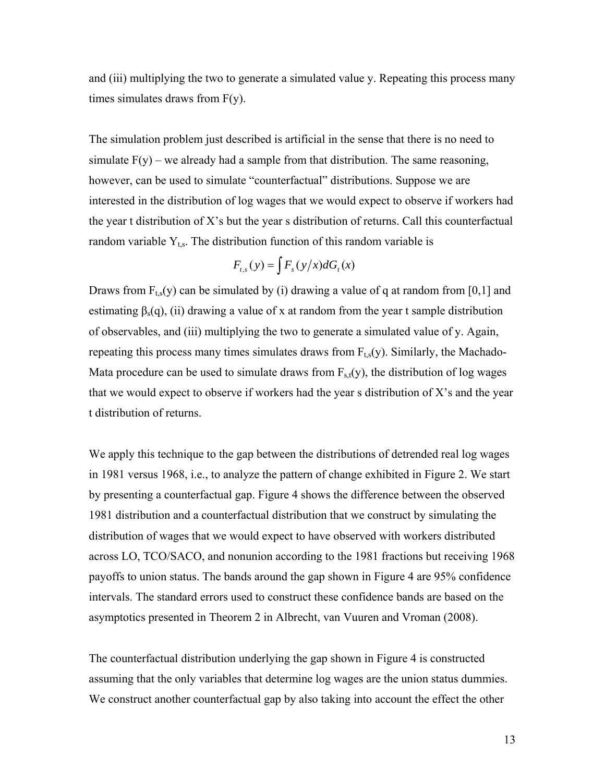and (iii) multiplying the two to generate a simulated value y. Repeating this process many times simulates draws from F(y).

The simulation problem just described is artificial in the sense that there is no need to simulate  $F(y)$  – we already had a sample from that distribution. The same reasoning, however, can be used to simulate "counterfactual" distributions. Suppose we are interested in the distribution of log wages that we would expect to observe if workers had the year t distribution of X's but the year s distribution of returns. Call this counterfactual random variable  $Y_{ts}$ . The distribution function of this random variable is

$$
F_{t,s}(y) = \int F_s(y/x) dG_t(x)
$$

Draws from  $F_{ts}(y)$  can be simulated by (i) drawing a value of q at random from [0,1] and estimating  $\beta_s(q)$ , (ii) drawing a value of x at random from the year t sample distribution of observables, and (iii) multiplying the two to generate a simulated value of y. Again, repeating this process many times simulates draws from  $F_{ts}(y)$ . Similarly, the Machado-Mata procedure can be used to simulate draws from  $F_{s,t}(y)$ , the distribution of log wages that we would expect to observe if workers had the year s distribution of  $X$ 's and the year t distribution of returns.

We apply this technique to the gap between the distributions of detrended real log wages in 1981 versus 1968, i.e., to analyze the pattern of change exhibited in Figure 2. We start by presenting a counterfactual gap. Figure 4 shows the difference between the observed 1981 distribution and a counterfactual distribution that we construct by simulating the distribution of wages that we would expect to have observed with workers distributed across LO, TCO/SACO, and nonunion according to the 1981 fractions but receiving 1968 payoffs to union status. The bands around the gap shown in Figure 4 are 95% confidence intervals. The standard errors used to construct these confidence bands are based on the asymptotics presented in Theorem 2 in Albrecht, van Vuuren and Vroman (2008).

The counterfactual distribution underlying the gap shown in Figure 4 is constructed assuming that the only variables that determine log wages are the union status dummies. We construct another counterfactual gap by also taking into account the effect the other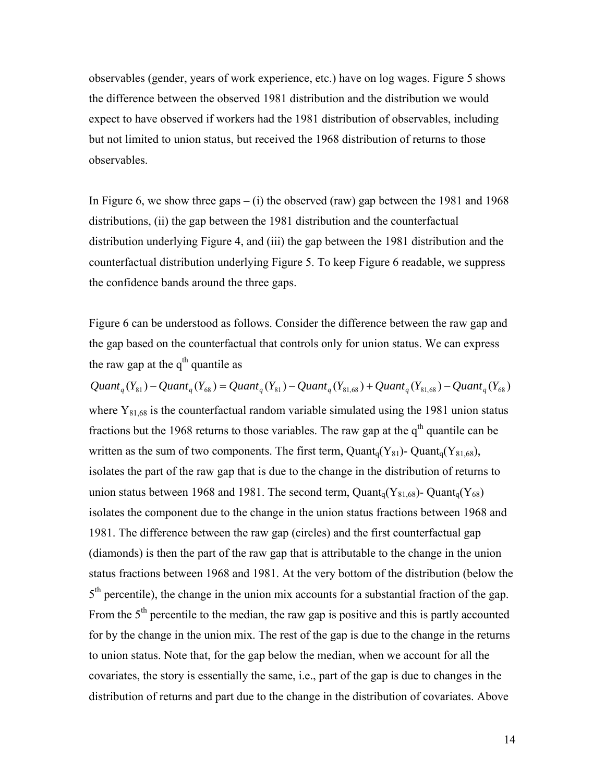observables (gender, years of work experience, etc.) have on log wages. Figure 5 shows the difference between the observed 1981 distribution and the distribution we would expect to have observed if workers had the 1981 distribution of observables, including but not limited to union status, but received the 1968 distribution of returns to those observables.

In Figure 6, we show three gaps  $-$  (i) the observed (raw) gap between the 1981 and 1968 distributions, (ii) the gap between the 1981 distribution and the counterfactual distribution underlying Figure 4, and (iii) the gap between the 1981 distribution and the counterfactual distribution underlying Figure 5. To keep Figure 6 readable, we suppress the confidence bands around the three gaps.

Figure 6 can be understood as follows. Consider the difference between the raw gap and the gap based on the counterfactual that controls only for union status. We can express the raw gap at the  $q<sup>th</sup>$  quantile as

 $Quant_{a}(Y_{81}) - Quant_{a}(Y_{68}) = Quant_{a}(Y_{81}) - Quant_{a}(Y_{81.68}) + Quant_{a}(Y_{81.68}) - Quant_{a}(Y_{68})$ where  $Y_{81,68}$  is the counterfactual random variable simulated using the 1981 union status fractions but the 1968 returns to those variables. The raw gap at the  $q<sup>th</sup>$  quantile can be written as the sum of two components. The first term, Quant<sub>q</sub>(Y<sub>81</sub>)- Quant<sub>q</sub>(Y<sub>81,68</sub>), isolates the part of the raw gap that is due to the change in the distribution of returns to union status between 1968 and 1981. The second term, Quant<sub>q</sub>(Y<sub>81,68</sub>)- Quant<sub>q</sub>(Y<sub>68</sub>) isolates the component due to the change in the union status fractions between 1968 and 1981. The difference between the raw gap (circles) and the first counterfactual gap (diamonds) is then the part of the raw gap that is attributable to the change in the union status fractions between 1968 and 1981. At the very bottom of the distribution (below the  $5<sup>th</sup>$  percentile), the change in the union mix accounts for a substantial fraction of the gap. From the  $5<sup>th</sup>$  percentile to the median, the raw gap is positive and this is partly accounted for by the change in the union mix. The rest of the gap is due to the change in the returns to union status. Note that, for the gap below the median, when we account for all the covariates, the story is essentially the same, i.e., part of the gap is due to changes in the distribution of returns and part due to the change in the distribution of covariates. Above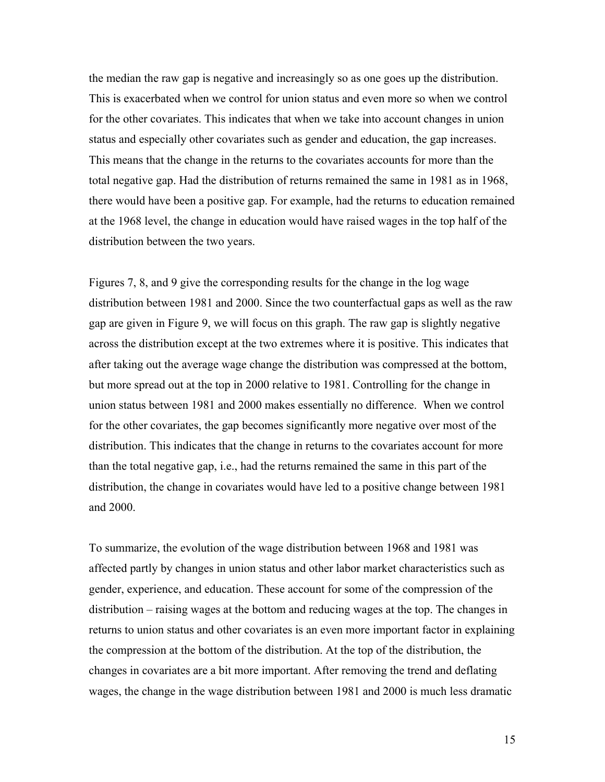the median the raw gap is negative and increasingly so as one goes up the distribution. This is exacerbated when we control for union status and even more so when we control for the other covariates. This indicates that when we take into account changes in union status and especially other covariates such as gender and education, the gap increases. This means that the change in the returns to the covariates accounts for more than the total negative gap. Had the distribution of returns remained the same in 1981 as in 1968, there would have been a positive gap. For example, had the returns to education remained at the 1968 level, the change in education would have raised wages in the top half of the distribution between the two years.

Figures 7, 8, and 9 give the corresponding results for the change in the log wage distribution between 1981 and 2000. Since the two counterfactual gaps as well as the raw gap are given in Figure 9, we will focus on this graph. The raw gap is slightly negative across the distribution except at the two extremes where it is positive. This indicates that after taking out the average wage change the distribution was compressed at the bottom, but more spread out at the top in 2000 relative to 1981. Controlling for the change in union status between 1981 and 2000 makes essentially no difference. When we control for the other covariates, the gap becomes significantly more negative over most of the distribution. This indicates that the change in returns to the covariates account for more than the total negative gap, i.e., had the returns remained the same in this part of the distribution, the change in covariates would have led to a positive change between 1981 and 2000.

To summarize, the evolution of the wage distribution between 1968 and 1981 was affected partly by changes in union status and other labor market characteristics such as gender, experience, and education. These account for some of the compression of the distribution – raising wages at the bottom and reducing wages at the top. The changes in returns to union status and other covariates is an even more important factor in explaining the compression at the bottom of the distribution. At the top of the distribution, the changes in covariates are a bit more important. After removing the trend and deflating wages, the change in the wage distribution between 1981 and 2000 is much less dramatic

15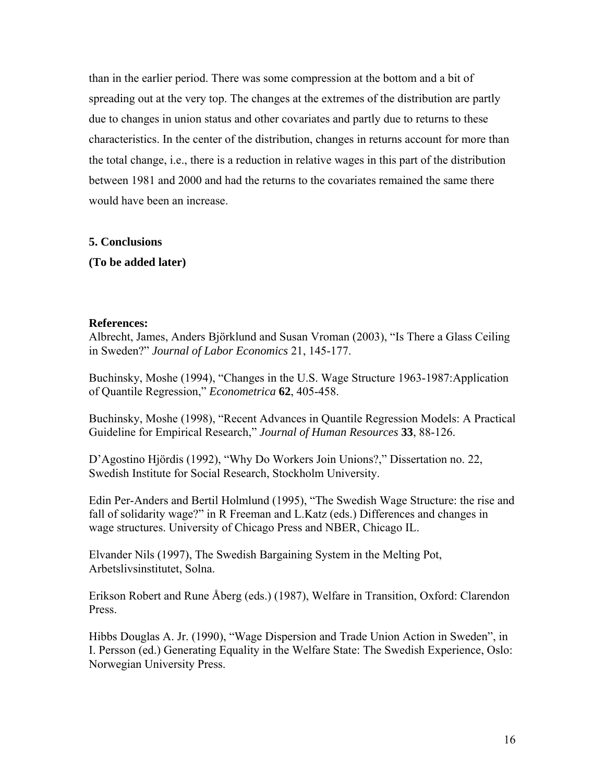than in the earlier period. There was some compression at the bottom and a bit of spreading out at the very top. The changes at the extremes of the distribution are partly due to changes in union status and other covariates and partly due to returns to these characteristics. In the center of the distribution, changes in returns account for more than the total change, i.e., there is a reduction in relative wages in this part of the distribution between 1981 and 2000 and had the returns to the covariates remained the same there would have been an increase.

**5. Conclusions** 

**(To be added later)** 

## **References:**

Albrecht, James, Anders Björklund and Susan Vroman (2003), "Is There a Glass Ceiling in Sweden?" *Journal of Labor Economics* 21, 145-177.

Buchinsky, Moshe (1994), "Changes in the U.S. Wage Structure 1963-1987:Application of Quantile Regression," *Econometrica* **62**, 405-458.

Buchinsky, Moshe (1998), "Recent Advances in Quantile Regression Models: A Practical Guideline for Empirical Research," *Journal of Human Resources* **33**, 88-126.

D'Agostino Hjördis (1992), "Why Do Workers Join Unions?," Dissertation no. 22, Swedish Institute for Social Research, Stockholm University.

Edin Per-Anders and Bertil Holmlund (1995), "The Swedish Wage Structure: the rise and fall of solidarity wage?" in R Freeman and L.Katz (eds.) Differences and changes in wage structures. University of Chicago Press and NBER, Chicago IL.

Elvander Nils (1997), The Swedish Bargaining System in the Melting Pot, Arbetslivsinstitutet, Solna.

Erikson Robert and Rune Åberg (eds.) (1987), Welfare in Transition, Oxford: Clarendon Press.

Hibbs Douglas A. Jr. (1990), "Wage Dispersion and Trade Union Action in Sweden", in I. Persson (ed.) Generating Equality in the Welfare State: The Swedish Experience, Oslo: Norwegian University Press.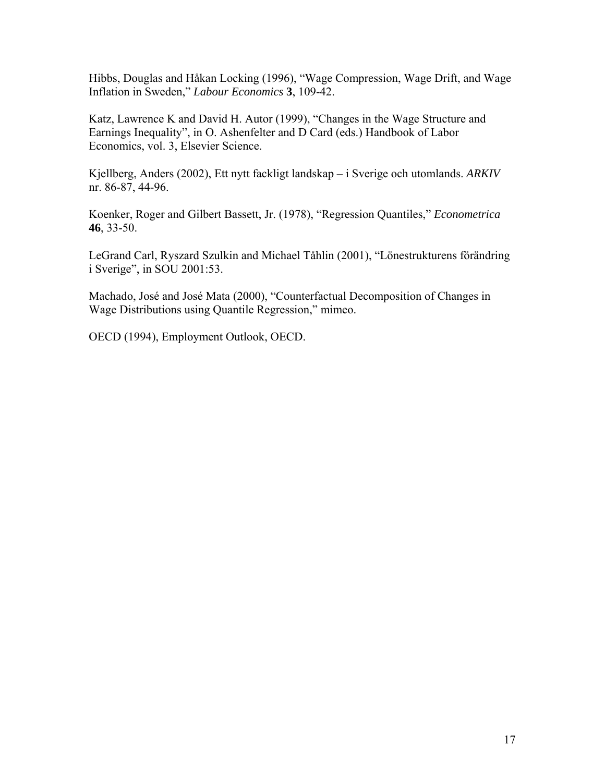Hibbs, Douglas and Håkan Locking (1996), "Wage Compression, Wage Drift, and Wage Inflation in Sweden," *Labour Economics* **3**, 109-42.

Katz, Lawrence K and David H. Autor (1999), "Changes in the Wage Structure and Earnings Inequality", in O. Ashenfelter and D Card (eds.) Handbook of Labor Economics, vol. 3, Elsevier Science.

Kjellberg, Anders (2002), Ett nytt fackligt landskap – i Sverige och utomlands. *ARKIV* nr. 86-87, 44-96.

Koenker, Roger and Gilbert Bassett, Jr. (1978), "Regression Quantiles," *Econometrica* **46**, 33-50.

LeGrand Carl, Ryszard Szulkin and Michael Tåhlin (2001), "Lönestrukturens förändring i Sverige", in SOU 2001:53.

Machado, José and José Mata (2000), "Counterfactual Decomposition of Changes in Wage Distributions using Quantile Regression," mimeo.

OECD (1994), Employment Outlook, OECD.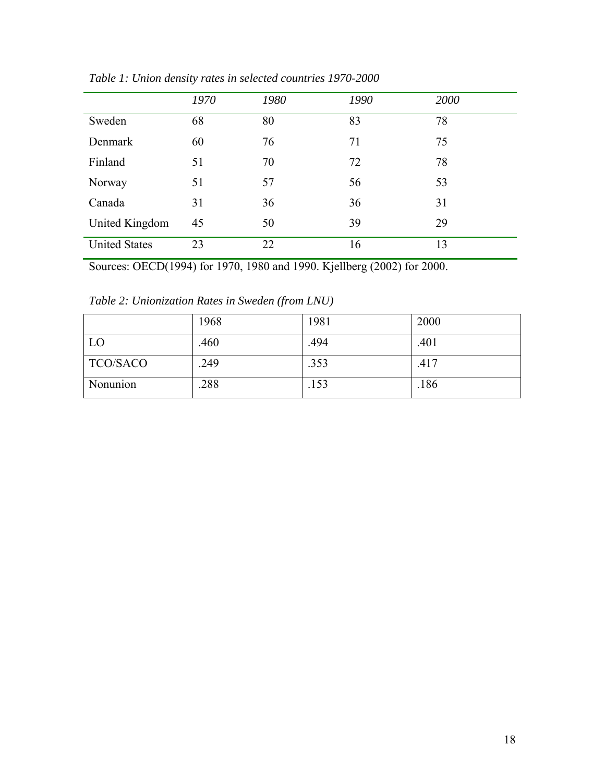|                      | 1970 | 1980 | 1990 | 2000 |
|----------------------|------|------|------|------|
| Sweden               | 68   | 80   | 83   | 78   |
| Denmark              | 60   | 76   | 71   | 75   |
| Finland              | 51   | 70   | 72   | 78   |
| Norway               | 51   | 57   | 56   | 53   |
| Canada               | 31   | 36   | 36   | 31   |
| United Kingdom       | 45   | 50   | 39   | 29   |
| <b>United States</b> | 23   | 22   | 16   | 13   |

*Table 1: Union density rates in selected countries 1970-2000* 

Sources: OECD(1994) for 1970, 1980 and 1990. Kjellberg (2002) for 2000.

*Table 2: Unionization Rates in Sweden (from LNU)* 

|                 | 1968 | 1981 | 2000 |
|-----------------|------|------|------|
| LO              | .460 | .494 | .401 |
| <b>TCO/SACO</b> | .249 | .353 | .417 |
| Nonunion        | .288 | .153 | .186 |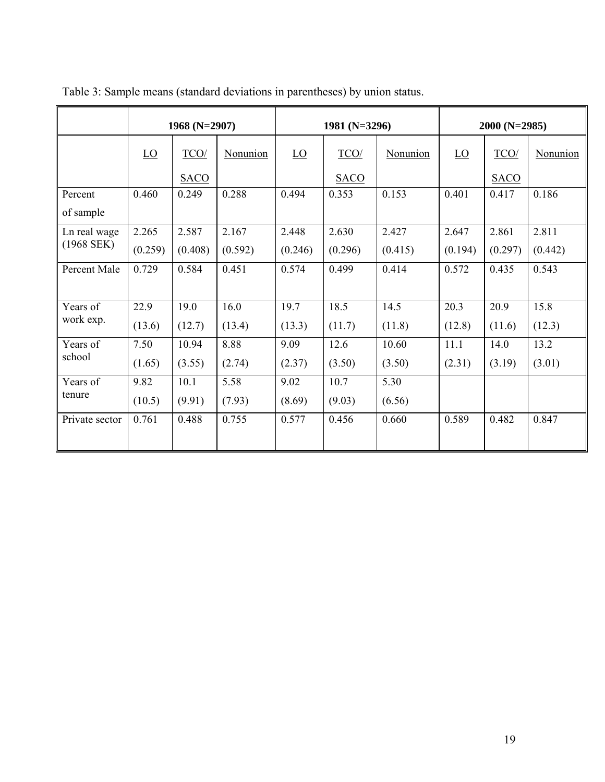|                | 1968 (N=2907) |             | 1981 (N=3296) |                         | $2000(N=2985)$ |          |                         |             |                 |
|----------------|---------------|-------------|---------------|-------------------------|----------------|----------|-------------------------|-------------|-----------------|
|                | LO            | TCO/        | Nonunion      | $\underline{\text{LO}}$ | TCO/           | Nonunion | $\underline{\text{LO}}$ | TCO/        | <b>Nonunion</b> |
|                |               | <b>SACO</b> |               |                         | <b>SACO</b>    |          |                         | <b>SACO</b> |                 |
| Percent        | 0.460         | 0.249       | 0.288         | 0.494                   | 0.353          | 0.153    | 0.401                   | 0.417       | 0.186           |
| of sample      |               |             |               |                         |                |          |                         |             |                 |
| Ln real wage   | 2.265         | 2.587       | 2.167         | 2.448                   | 2.630          | 2.427    | 2.647                   | 2.861       | 2.811           |
| $(1968$ SEK)   | (0.259)       | (0.408)     | (0.592)       | (0.246)                 | (0.296)        | (0.415)  | (0.194)                 | (0.297)     | (0.442)         |
| Percent Male   | 0.729         | 0.584       | 0.451         | 0.574                   | 0.499          | 0.414    | 0.572                   | 0.435       | 0.543           |
|                |               |             |               |                         |                |          |                         |             |                 |
| Years of       | 22.9          | 19.0        | 16.0          | 19.7                    | 18.5           | 14.5     | 20.3                    | 20.9        | 15.8            |
| work exp.      | (13.6)        | (12.7)      | (13.4)        | (13.3)                  | (11.7)         | (11.8)   | (12.8)                  | (11.6)      | (12.3)          |
| Years of       | 7.50          | 10.94       | 8.88          | 9.09                    | 12.6           | 10.60    | 11.1                    | 14.0        | 13.2            |
| school         | (1.65)        | (3.55)      | (2.74)        | (2.37)                  | (3.50)         | (3.50)   | (2.31)                  | (3.19)      | (3.01)          |
| Years of       | 9.82          | 10.1        | 5.58          | 9.02                    | 10.7           | 5.30     |                         |             |                 |
| tenure         | (10.5)        | (9.91)      | (7.93)        | (8.69)                  | (9.03)         | (6.56)   |                         |             |                 |
| Private sector | 0.761         | 0.488       | 0.755         | 0.577                   | 0.456          | 0.660    | 0.589                   | 0.482       | 0.847           |
|                |               |             |               |                         |                |          |                         |             |                 |

Table 3: Sample means (standard deviations in parentheses) by union status.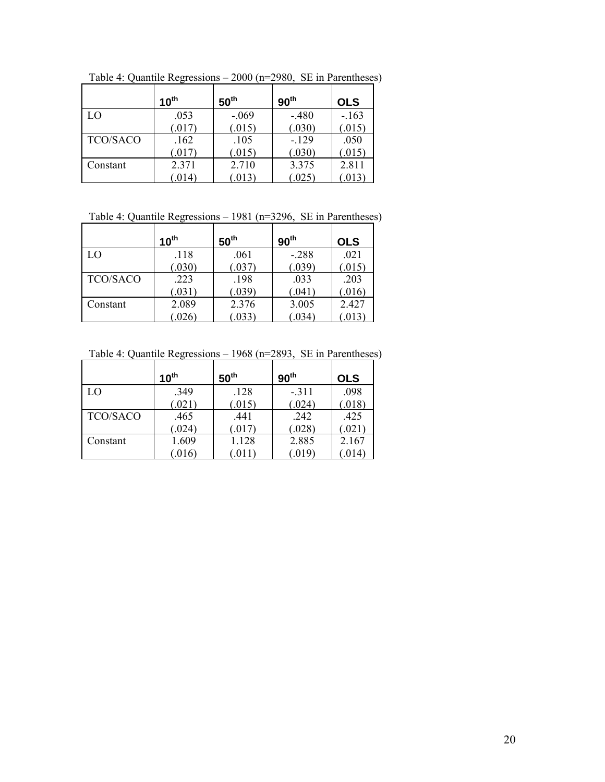|                 | 10 <sup>th</sup> | 50 <sup>th</sup> | 90 <sup>th</sup> | <b>OLS</b> |
|-----------------|------------------|------------------|------------------|------------|
| LO              | .053             | $-.069$          | $-.480$          | $-.163$    |
|                 | (.017)           | (.015)           | (.030)           | (.015)     |
| <b>TCO/SACO</b> | .162             | .105             | $-129$           | .050       |
|                 | (.017)           | (.015)           | (.030)           | (.015)     |
| Constant        | 2.371            | 2.710            | 3.375            | 2.811      |
|                 | (0.014)          | .013             | .025             | .013       |

Table 4: Quantile Regressions – 2000 (n=2980, SE in Parentheses)

## Table 4: Quantile Regressions – 1981 (n=3296, SE in Parentheses)

|                 | $10^{\text{th}}$ | 50 <sup>th</sup> | 90 <sup>th</sup> | <b>OLS</b> |
|-----------------|------------------|------------------|------------------|------------|
| LO              | .118             | .061             | $-.288$          | .021       |
|                 | (.030)           | (.037)           | (.039)           | 0.015      |
| <b>TCO/SACO</b> | .223             | .198             | .033             | .203       |
|                 | (.031)           | (.039)           | (.041)           | .016       |
| Constant        | 2.089            | 2.376            | 3.005            | 2.427      |
|                 | .026             | .033)            | .034)            |            |

Table 4: Quantile Regressions – 1968 (n=2893, SE in Parentheses)

|                 | 10 <sup>th</sup> | 50 <sup>th</sup> | 90 <sup>th</sup> | <b>OLS</b> |
|-----------------|------------------|------------------|------------------|------------|
| LO              | .349             | .128             | $-.311$          | .098       |
|                 | (.021)           | (.015)           | (.024)           | .018       |
| <b>TCO/SACO</b> | .465             | .441             | .242             | .425       |
|                 | (0.024)          | (.017)           | (.028)           | 0.021      |
| Constant        | 1.609            | 1.128            | 2.885            | 2.167      |
|                 | .016             | .011             | .019             | .014       |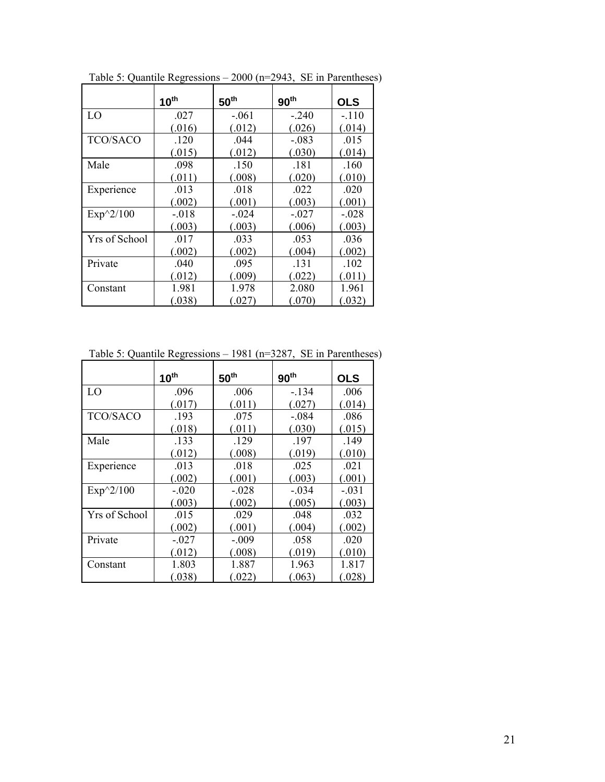|                 | 10 <sup>th</sup> | 50 <sup>th</sup> | 90 <sup>th</sup> | <b>OLS</b> |
|-----------------|------------------|------------------|------------------|------------|
| LO              | .027             | $-.061$          | $-240$           | $-.110$    |
|                 | (.016)           | (.012)           | (.026)           | (.014)     |
| <b>TCO/SACO</b> | .120             | .044             | $-.083$          | .015       |
|                 | (.015)           | (.012)           | (.030)           | (.014)     |
| Male            | .098             | .150             | .181             | .160       |
|                 | (.011)           | (.008)           | (.020)           | (.010)     |
| Experience      | .013             | .018             | .022             | .020       |
|                 | (.002)           | (.001)           | (.003)           | (.001)     |
| $Exp^2/100$     | $-.018$          | $-.024$          | $-.027$          | $-.028$    |
|                 | (.003)           | (.003)           | (.006)           | (.003)     |
| Yrs of School   | .017             | .033             | .053             | .036       |
|                 | (.002)           | (.002)           | (.004)           | (.002)     |
| Private         | .040             | .095             | .131             | .102       |
|                 | (.012)           | (.009)           | (.022)           | (.011)     |
| Constant        | 1.981            | 1.978            | 2.080            | 1.961      |
|                 | (.038)           | (.027)           | (.070)           | (.032)     |

Table 5: Quantile Regressions – 2000 (n=2943, SE in Parentheses)

Table 5: Quantile Regressions – 1981 (n=3287, SE in Parentheses)

|                 | $10^{\text{th}}$ | 50 <sup>th</sup> | 90 <sup>th</sup> | <b>OLS</b> |
|-----------------|------------------|------------------|------------------|------------|
| LO              | .096             | .006             | $-.134$          | .006       |
|                 | (.017)           | (.011)           | (.027)           | (.014)     |
| <b>TCO/SACO</b> | .193             | .075             | $-.084$          | .086       |
|                 | (.018)           | (.011)           | (.030)           | (.015)     |
| Male            | .133             | .129             | .197             | .149       |
|                 | (.012)           | (.008)           | (.019)           | (.010)     |
| Experience      | .013             | .018             | .025             | .021       |
|                 | (.002)           | (.001)           | (.003)           | (.001)     |
| $Exp^2/100$     | $-.020$          | $-.028$          | $-.034$          | $-.031$    |
|                 | (.003)           | (.002)           | (.005)           | (.003)     |
| Yrs of School   | .015             | .029             | .048             | .032       |
|                 | (.002)           | (.001)           | (.004)           | (.002)     |
| Private         | $-.027$          | $-.009$          | .058             | .020       |
|                 | (.012)           | (.008)           | (.019)           | (.010)     |
| Constant        | 1.803            | 1.887            | 1.963            | 1.817      |
|                 | (.038)           | (.022)           | (.063)           | (.028)     |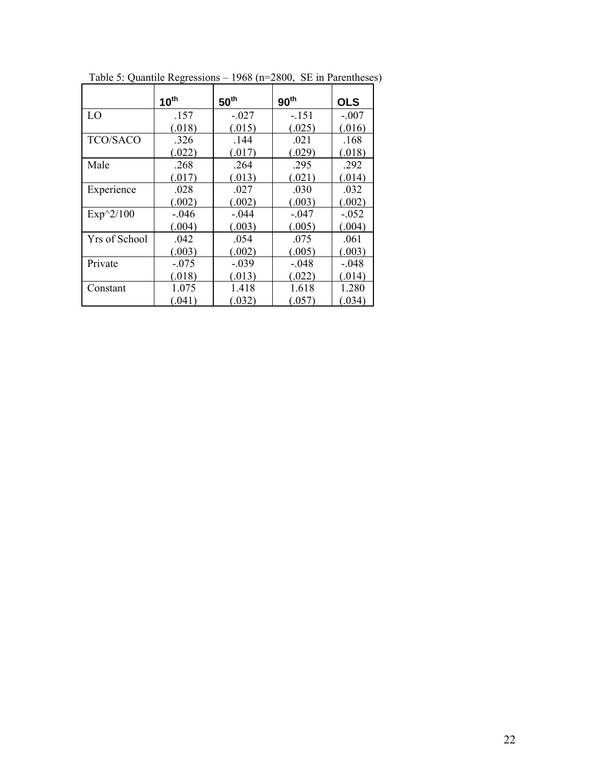|                 | 10 <sup>th</sup> | $50^{\text{th}}$ | 90 <sup>th</sup> | <b>OLS</b> |
|-----------------|------------------|------------------|------------------|------------|
| LO              | .157             | $-.027$          | $-.151$          | $-.007$    |
|                 | (.018)           | (.015)           | (.025)           | (.016)     |
| <b>TCO/SACO</b> | .326             | .144             | .021             | .168       |
|                 | (.022)           | (.017)           | (0.029)          | (.018)     |
| Male            | .268             | .264             | .295             | .292       |
|                 | (.017)           | (.013)           | (.021)           | (.014)     |
| Experience      | .028             | .027             | .030             | .032       |
|                 | (.002)           | (.002)           | (.003)           | (.002)     |
| $Exp^2/100$     | $-.046$          | $-.044$          | $-.047$          | $-.052$    |
|                 | (.004)           | (.003)           | (.005)           | (.004)     |
| Yrs of School   | .042             | .054             | .075             | .061       |
|                 | (.003)           | (.002)           | (.005)           | (.003)     |
| Private         | $-.075$          | $-.039$          | $-.048$          | $-.048$    |
|                 | (.018)           | (.013)           | (.022)           | (.014)     |
| Constant        | 1.075            | 1.418            | 1.618            | 1.280      |
|                 | (.041)           | (.032)           | (.057)           | (.034)     |

Table 5: Quantile Regressions – 1968 (n=2800, SE in Parentheses)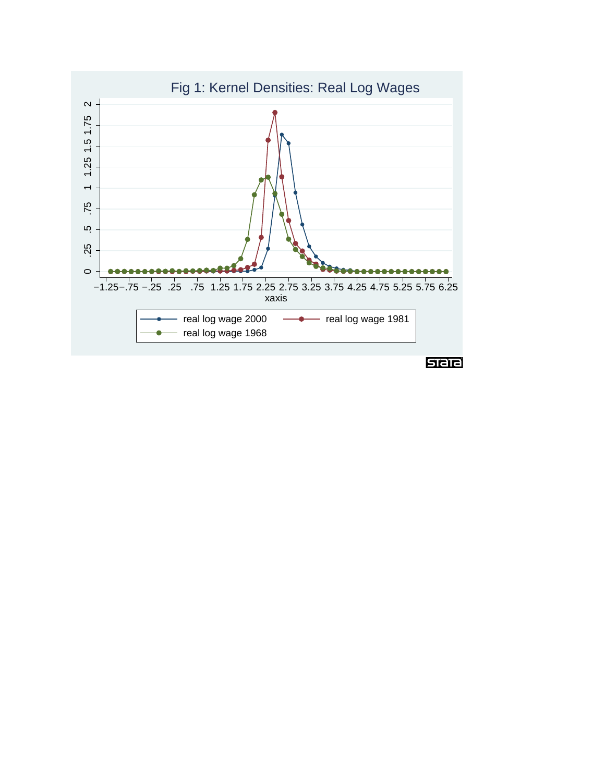# Fig 1: Kernel Densities: Real Log Wages

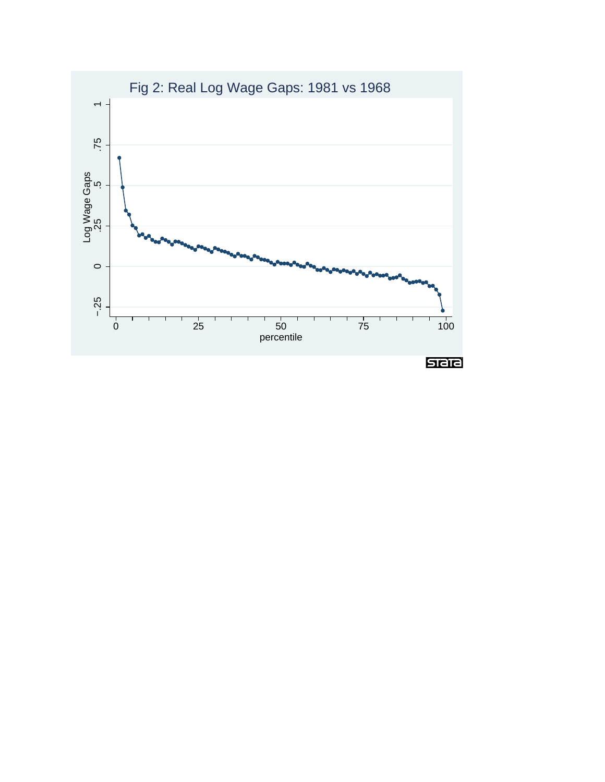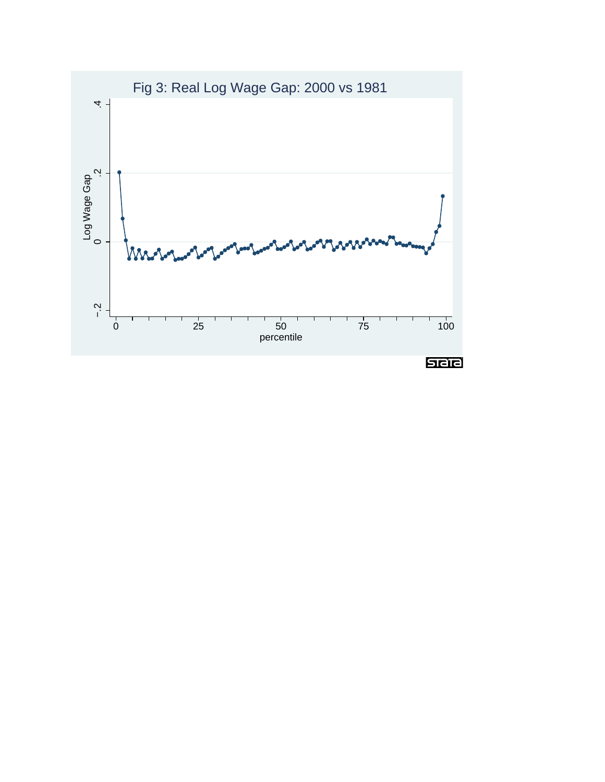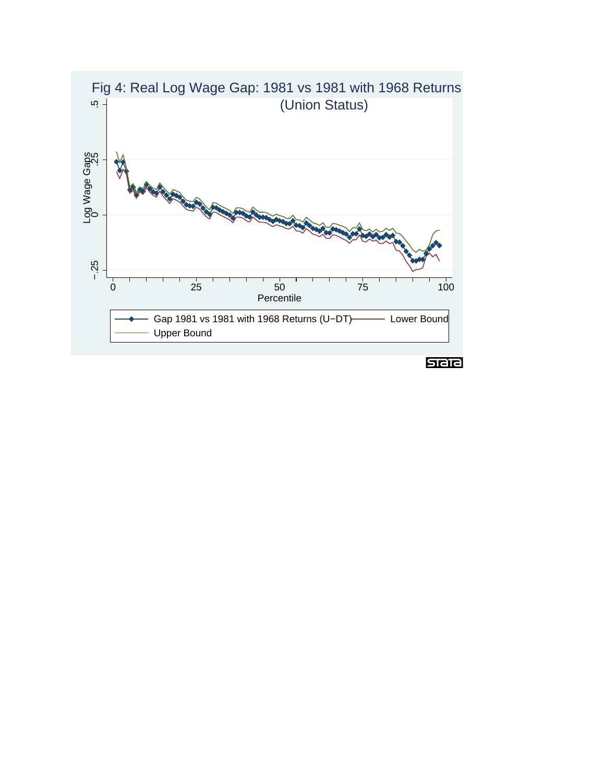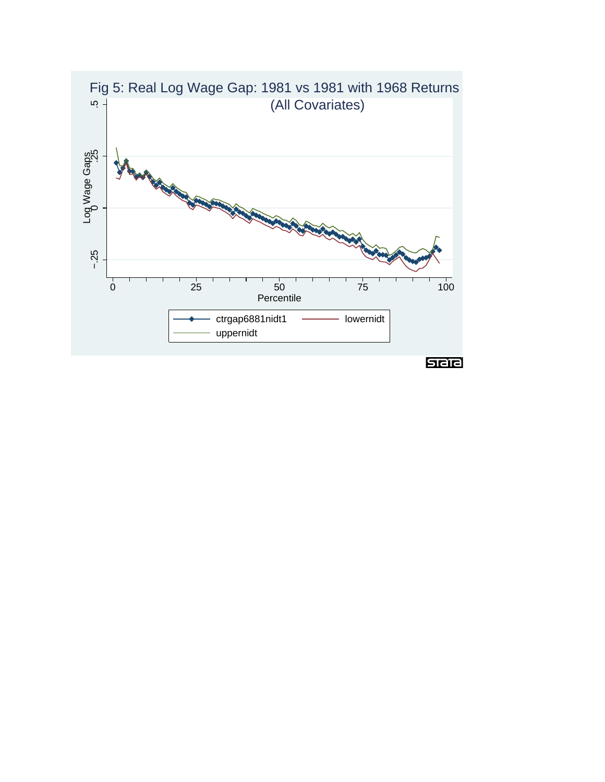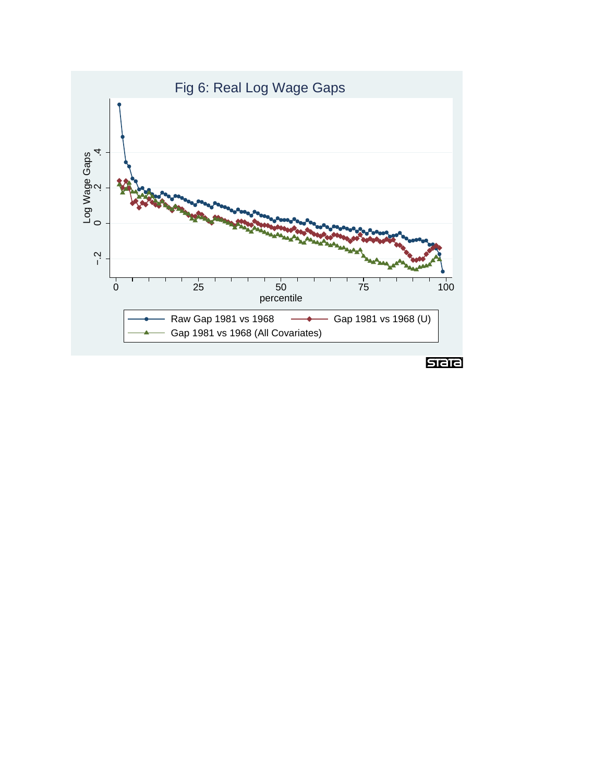# Fig 6: Real Log Wage Gaps

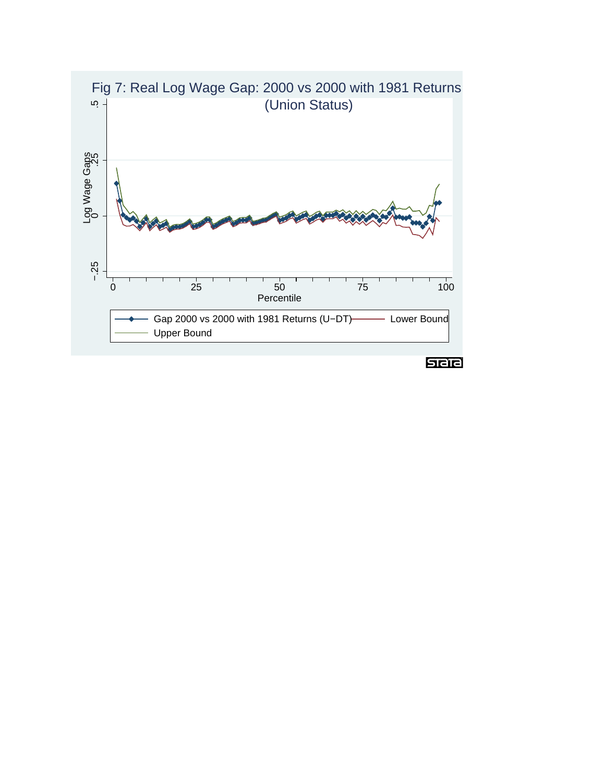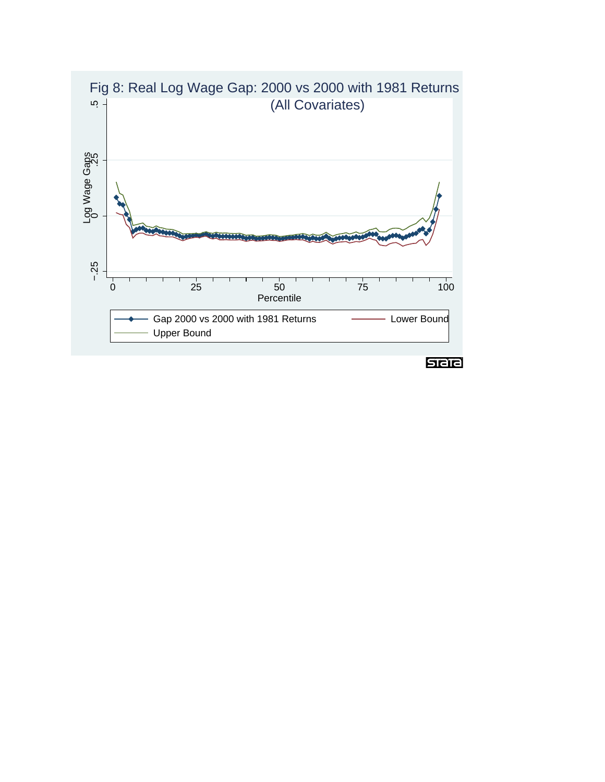